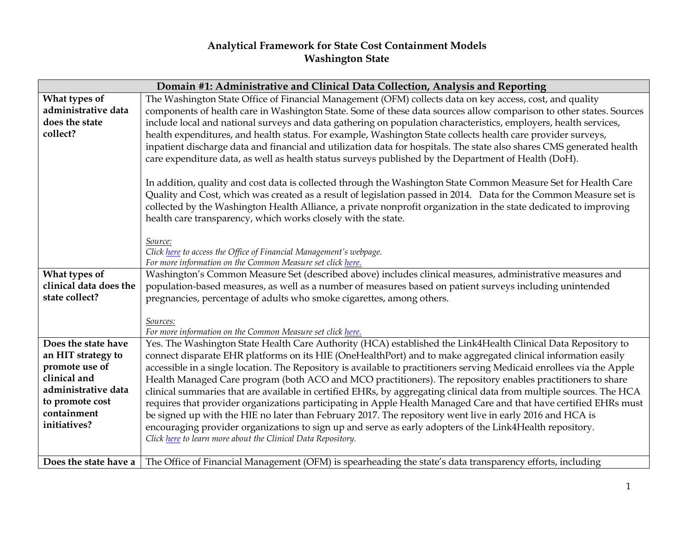## **Analytical Framework for State Cost Containment Models Washington State**

| Domain #1: Administrative and Clinical Data Collection, Analysis and Reporting |                                                                                                                        |  |
|--------------------------------------------------------------------------------|------------------------------------------------------------------------------------------------------------------------|--|
| What types of                                                                  | The Washington State Office of Financial Management (OFM) collects data on key access, cost, and quality               |  |
| administrative data                                                            | components of health care in Washington State. Some of these data sources allow comparison to other states. Sources    |  |
| does the state                                                                 | include local and national surveys and data gathering on population characteristics, employers, health services,       |  |
| collect?                                                                       | health expenditures, and health status. For example, Washington State collects health care provider surveys,           |  |
|                                                                                | inpatient discharge data and financial and utilization data for hospitals. The state also shares CMS generated health  |  |
|                                                                                | care expenditure data, as well as health status surveys published by the Department of Health (DoH).                   |  |
|                                                                                |                                                                                                                        |  |
|                                                                                | In addition, quality and cost data is collected through the Washington State Common Measure Set for Health Care        |  |
|                                                                                | Quality and Cost, which was created as a result of legislation passed in 2014. Data for the Common Measure set is      |  |
|                                                                                | collected by the Washington Health Alliance, a private nonprofit organization in the state dedicated to improving      |  |
|                                                                                | health care transparency, which works closely with the state.                                                          |  |
|                                                                                |                                                                                                                        |  |
|                                                                                | Source:                                                                                                                |  |
|                                                                                | Click here to access the Office of Financial Management's webpage.                                                     |  |
|                                                                                | For more information on the Common Measure set click here.                                                             |  |
| What types of                                                                  | Washington's Common Measure Set (described above) includes clinical measures, administrative measures and              |  |
| clinical data does the                                                         | population-based measures, as well as a number of measures based on patient surveys including unintended               |  |
| state collect?                                                                 | pregnancies, percentage of adults who smoke cigarettes, among others.                                                  |  |
|                                                                                |                                                                                                                        |  |
|                                                                                | Sources:<br>For more information on the Common Measure set click here.                                                 |  |
| Does the state have                                                            | Yes. The Washington State Health Care Authority (HCA) established the Link4Health Clinical Data Repository to          |  |
| an HIT strategy to                                                             | connect disparate EHR platforms on its HIE (OneHealthPort) and to make aggregated clinical information easily          |  |
| promote use of                                                                 | accessible in a single location. The Repository is available to practitioners serving Medicaid enrollees via the Apple |  |
| clinical and                                                                   | Health Managed Care program (both ACO and MCO practitioners). The repository enables practitioners to share            |  |
| administrative data                                                            | clinical summaries that are available in certified EHRs, by aggregating clinical data from multiple sources. The HCA   |  |
| to promote cost                                                                | requires that provider organizations participating in Apple Health Managed Care and that have certified EHRs must      |  |
| containment                                                                    | be signed up with the HIE no later than February 2017. The repository went live in early 2016 and HCA is               |  |
| initiatives?                                                                   | encouraging provider organizations to sign up and serve as early adopters of the Link4Health repository.               |  |
|                                                                                | Click here to learn more about the Clinical Data Repository.                                                           |  |
|                                                                                |                                                                                                                        |  |
| Does the state have a                                                          | The Office of Financial Management (OFM) is spearheading the state's data transparency efforts, including              |  |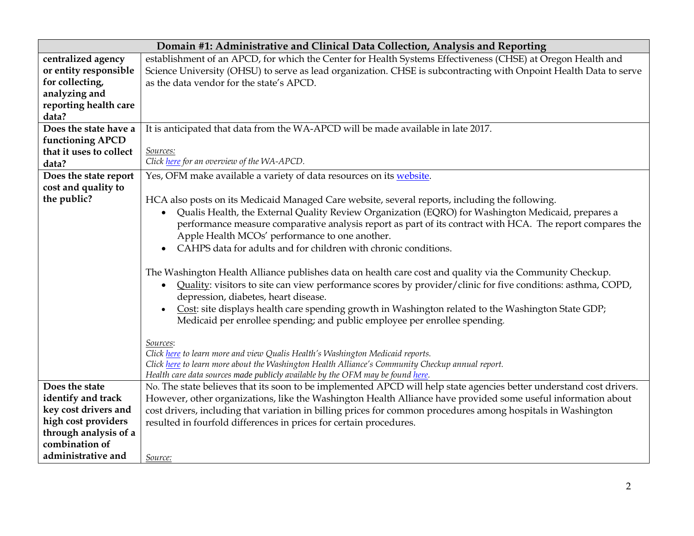|                         | Domain #1: Administrative and Clinical Data Collection, Analysis and Reporting                                           |
|-------------------------|--------------------------------------------------------------------------------------------------------------------------|
| centralized agency      | establishment of an APCD, for which the Center for Health Systems Effectiveness (CHSE) at Oregon Health and              |
| or entity responsible   | Science University (OHSU) to serve as lead organization. CHSE is subcontracting with Onpoint Health Data to serve        |
| for collecting,         | as the data vendor for the state's APCD.                                                                                 |
| analyzing and           |                                                                                                                          |
| reporting health care   |                                                                                                                          |
| data?                   |                                                                                                                          |
| Does the state have a   | It is anticipated that data from the WA-APCD will be made available in late 2017.                                        |
| functioning APCD        |                                                                                                                          |
| that it uses to collect | Sources:                                                                                                                 |
| data?                   | Click here for an overview of the WA-APCD.                                                                               |
| Does the state report   | Yes, OFM make available a variety of data resources on its website.                                                      |
| cost and quality to     |                                                                                                                          |
| the public?             | HCA also posts on its Medicaid Managed Care website, several reports, including the following.                           |
|                         | Qualis Health, the External Quality Review Organization (EQRO) for Washington Medicaid, prepares a                       |
|                         | performance measure comparative analysis report as part of its contract with HCA. The report compares the                |
|                         | Apple Health MCOs' performance to one another.                                                                           |
|                         | CAHPS data for adults and for children with chronic conditions.                                                          |
|                         |                                                                                                                          |
|                         | The Washington Health Alliance publishes data on health care cost and quality via the Community Checkup.                 |
|                         | Quality: visitors to site can view performance scores by provider/clinic for five conditions: asthma, COPD,<br>$\bullet$ |
|                         | depression, diabetes, heart disease.                                                                                     |
|                         | Cost: site displays health care spending growth in Washington related to the Washington State GDP;<br>$\bullet$          |
|                         | Medicaid per enrollee spending; and public employee per enrollee spending.                                               |
|                         |                                                                                                                          |
|                         | Sources:                                                                                                                 |
|                         | Click here to learn more and view Qualis Health's Washington Medicaid reports.                                           |
|                         | Click here to learn more about the Washington Health Alliance's Community Checkup annual report.                         |
|                         | Health care data sources made publicly available by the OFM may be found here.                                           |
| Does the state          | No. The state believes that its soon to be implemented APCD will help state agencies better understand cost drivers.     |
| identify and track      | However, other organizations, like the Washington Health Alliance have provided some useful information about            |
| key cost drivers and    | cost drivers, including that variation in billing prices for common procedures among hospitals in Washington             |
| high cost providers     | resulted in fourfold differences in prices for certain procedures.                                                       |
| through analysis of a   |                                                                                                                          |
| combination of          |                                                                                                                          |
| administrative and      | Source:                                                                                                                  |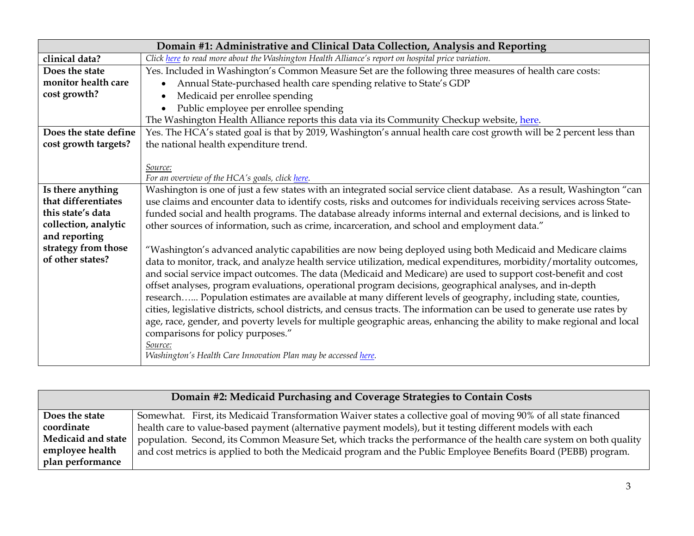| Domain #1: Administrative and Clinical Data Collection, Analysis and Reporting |                                                                                                                                                                                                                                                                                                                                                      |
|--------------------------------------------------------------------------------|------------------------------------------------------------------------------------------------------------------------------------------------------------------------------------------------------------------------------------------------------------------------------------------------------------------------------------------------------|
| clinical data?                                                                 | Click here to read more about the Washington Health Alliance's report on hospital price variation.                                                                                                                                                                                                                                                   |
| Does the state                                                                 | Yes. Included in Washington's Common Measure Set are the following three measures of health care costs:                                                                                                                                                                                                                                              |
| monitor health care                                                            | Annual State-purchased health care spending relative to State's GDP                                                                                                                                                                                                                                                                                  |
| cost growth?                                                                   | Medicaid per enrollee spending<br>$\bullet$                                                                                                                                                                                                                                                                                                          |
|                                                                                | Public employee per enrollee spending                                                                                                                                                                                                                                                                                                                |
|                                                                                | The Washington Health Alliance reports this data via its Community Checkup website, here.                                                                                                                                                                                                                                                            |
| Does the state define                                                          | Yes. The HCA's stated goal is that by 2019, Washington's annual health care cost growth will be 2 percent less than                                                                                                                                                                                                                                  |
| cost growth targets?                                                           | the national health expenditure trend.                                                                                                                                                                                                                                                                                                               |
|                                                                                |                                                                                                                                                                                                                                                                                                                                                      |
|                                                                                | Source:                                                                                                                                                                                                                                                                                                                                              |
|                                                                                | For an overview of the HCA's goals, click here.                                                                                                                                                                                                                                                                                                      |
| Is there anything                                                              | Washington is one of just a few states with an integrated social service client database. As a result, Washington "can                                                                                                                                                                                                                               |
| that differentiates                                                            | use claims and encounter data to identify costs, risks and outcomes for individuals receiving services across State-                                                                                                                                                                                                                                 |
| this state's data                                                              | funded social and health programs. The database already informs internal and external decisions, and is linked to                                                                                                                                                                                                                                    |
| collection, analytic<br>and reporting                                          | other sources of information, such as crime, incarceration, and school and employment data."                                                                                                                                                                                                                                                         |
| strategy from those                                                            |                                                                                                                                                                                                                                                                                                                                                      |
| of other states?                                                               | "Washington's advanced analytic capabilities are now being deployed using both Medicaid and Medicare claims<br>data to monitor, track, and analyze health service utilization, medical expenditures, morbidity/mortality outcomes,<br>and social service impact outcomes. The data (Medicaid and Medicare) are used to support cost-benefit and cost |
|                                                                                | offset analyses, program evaluations, operational program decisions, geographical analyses, and in-depth<br>research Population estimates are available at many different levels of geography, including state, counties,                                                                                                                            |
|                                                                                | cities, legislative districts, school districts, and census tracts. The information can be used to generate use rates by                                                                                                                                                                                                                             |
|                                                                                | age, race, gender, and poverty levels for multiple geographic areas, enhancing the ability to make regional and local<br>comparisons for policy purposes."                                                                                                                                                                                           |
|                                                                                | Source:                                                                                                                                                                                                                                                                                                                                              |
|                                                                                | Washington's Health Care Innovation Plan may be accessed here.                                                                                                                                                                                                                                                                                       |

| Domain #2: Medicaid Purchasing and Coverage Strategies to Contain Costs |                                                                                                                    |
|-------------------------------------------------------------------------|--------------------------------------------------------------------------------------------------------------------|
| Does the state                                                          | Somewhat. First, its Medicaid Transformation Waiver states a collective goal of moving 90% of all state financed   |
| coordinate                                                              | health care to value-based payment (alternative payment models), but it testing different models with each         |
| Medicaid and state                                                      | population. Second, its Common Measure Set, which tracks the performance of the health care system on both quality |
| employee health                                                         | and cost metrics is applied to both the Medicaid program and the Public Employee Benefits Board (PEBB) program.    |
| plan performance                                                        |                                                                                                                    |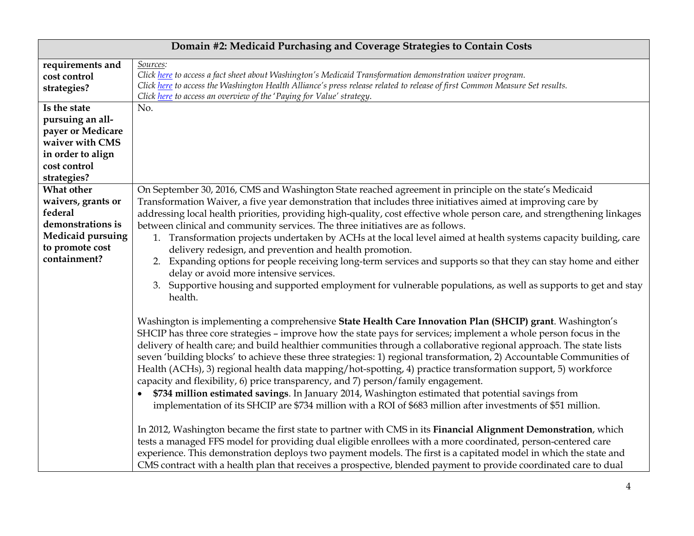| Domain #2: Medicaid Purchasing and Coverage Strategies to Contain Costs |                                                                                                                                                                                                                                                                                                                                                                                                                                                                                                                                                                                                                                                                                                                                                                                                                                                                                                         |
|-------------------------------------------------------------------------|---------------------------------------------------------------------------------------------------------------------------------------------------------------------------------------------------------------------------------------------------------------------------------------------------------------------------------------------------------------------------------------------------------------------------------------------------------------------------------------------------------------------------------------------------------------------------------------------------------------------------------------------------------------------------------------------------------------------------------------------------------------------------------------------------------------------------------------------------------------------------------------------------------|
| requirements and<br>cost control                                        | Sources:<br>Click here to access a fact sheet about Washington's Medicaid Transformation demonstration waiver program.                                                                                                                                                                                                                                                                                                                                                                                                                                                                                                                                                                                                                                                                                                                                                                                  |
| strategies?                                                             | Click here to access the Washington Health Alliance's press release related to release of first Common Measure Set results.<br>Click here to access an overview of the 'Paying for Value' strategy.                                                                                                                                                                                                                                                                                                                                                                                                                                                                                                                                                                                                                                                                                                     |
| Is the state                                                            | No.                                                                                                                                                                                                                                                                                                                                                                                                                                                                                                                                                                                                                                                                                                                                                                                                                                                                                                     |
| pursuing an all-                                                        |                                                                                                                                                                                                                                                                                                                                                                                                                                                                                                                                                                                                                                                                                                                                                                                                                                                                                                         |
| payer or Medicare                                                       |                                                                                                                                                                                                                                                                                                                                                                                                                                                                                                                                                                                                                                                                                                                                                                                                                                                                                                         |
| waiver with CMS                                                         |                                                                                                                                                                                                                                                                                                                                                                                                                                                                                                                                                                                                                                                                                                                                                                                                                                                                                                         |
| in order to align                                                       |                                                                                                                                                                                                                                                                                                                                                                                                                                                                                                                                                                                                                                                                                                                                                                                                                                                                                                         |
| cost control                                                            |                                                                                                                                                                                                                                                                                                                                                                                                                                                                                                                                                                                                                                                                                                                                                                                                                                                                                                         |
| strategies?                                                             |                                                                                                                                                                                                                                                                                                                                                                                                                                                                                                                                                                                                                                                                                                                                                                                                                                                                                                         |
| What other                                                              | On September 30, 2016, CMS and Washington State reached agreement in principle on the state's Medicaid                                                                                                                                                                                                                                                                                                                                                                                                                                                                                                                                                                                                                                                                                                                                                                                                  |
| waivers, grants or                                                      | Transformation Waiver, a five year demonstration that includes three initiatives aimed at improving care by                                                                                                                                                                                                                                                                                                                                                                                                                                                                                                                                                                                                                                                                                                                                                                                             |
| federal                                                                 | addressing local health priorities, providing high-quality, cost effective whole person care, and strengthening linkages                                                                                                                                                                                                                                                                                                                                                                                                                                                                                                                                                                                                                                                                                                                                                                                |
| demonstrations is                                                       | between clinical and community services. The three initiatives are as follows.                                                                                                                                                                                                                                                                                                                                                                                                                                                                                                                                                                                                                                                                                                                                                                                                                          |
| <b>Medicaid pursuing</b><br>to promote cost                             | 1. Transformation projects undertaken by ACHs at the local level aimed at health systems capacity building, care<br>delivery redesign, and prevention and health promotion.                                                                                                                                                                                                                                                                                                                                                                                                                                                                                                                                                                                                                                                                                                                             |
| containment?                                                            | 2. Expanding options for people receiving long-term services and supports so that they can stay home and either                                                                                                                                                                                                                                                                                                                                                                                                                                                                                                                                                                                                                                                                                                                                                                                         |
|                                                                         | delay or avoid more intensive services.                                                                                                                                                                                                                                                                                                                                                                                                                                                                                                                                                                                                                                                                                                                                                                                                                                                                 |
|                                                                         | 3. Supportive housing and supported employment for vulnerable populations, as well as supports to get and stay<br>health.                                                                                                                                                                                                                                                                                                                                                                                                                                                                                                                                                                                                                                                                                                                                                                               |
|                                                                         | Washington is implementing a comprehensive State Health Care Innovation Plan (SHCIP) grant. Washington's<br>SHCIP has three core strategies - improve how the state pays for services; implement a whole person focus in the<br>delivery of health care; and build healthier communities through a collaborative regional approach. The state lists<br>seven 'building blocks' to achieve these three strategies: 1) regional transformation, 2) Accountable Communities of<br>Health (ACHs), 3) regional health data mapping/hot-spotting, 4) practice transformation support, 5) workforce<br>capacity and flexibility, 6) price transparency, and 7) person/family engagement.<br>\$734 million estimated savings. In January 2014, Washington estimated that potential savings from<br>implementation of its SHCIP are \$734 million with a ROI of \$683 million after investments of \$51 million. |
|                                                                         | In 2012, Washington became the first state to partner with CMS in its Financial Alignment Demonstration, which<br>tests a managed FFS model for providing dual eligible enrollees with a more coordinated, person-centered care<br>experience. This demonstration deploys two payment models. The first is a capitated model in which the state and<br>CMS contract with a health plan that receives a prospective, blended payment to provide coordinated care to dual                                                                                                                                                                                                                                                                                                                                                                                                                                 |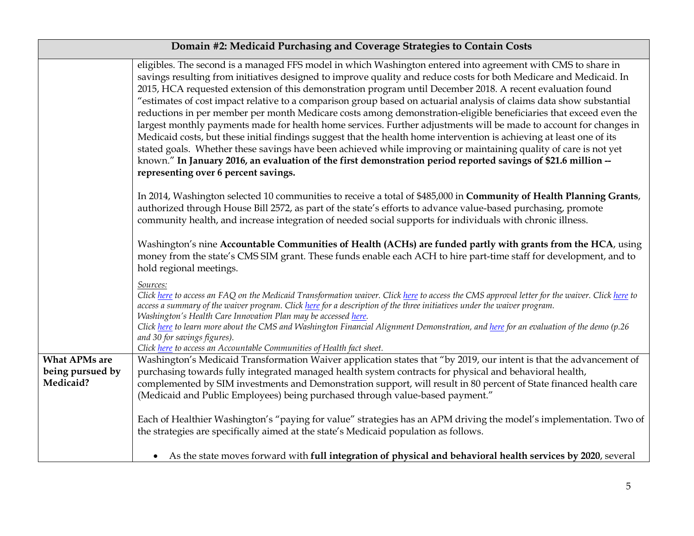| Domain #2: Medicaid Purchasing and Coverage Strategies to Contain Costs |                                                                                                                                                                                                                                                                                                                                                                                                                                                                                                                                                                                                                                                                                                                                                                                                                                                                                                                                                                                                                                                                                                                            |
|-------------------------------------------------------------------------|----------------------------------------------------------------------------------------------------------------------------------------------------------------------------------------------------------------------------------------------------------------------------------------------------------------------------------------------------------------------------------------------------------------------------------------------------------------------------------------------------------------------------------------------------------------------------------------------------------------------------------------------------------------------------------------------------------------------------------------------------------------------------------------------------------------------------------------------------------------------------------------------------------------------------------------------------------------------------------------------------------------------------------------------------------------------------------------------------------------------------|
|                                                                         | eligibles. The second is a managed FFS model in which Washington entered into agreement with CMS to share in<br>savings resulting from initiatives designed to improve quality and reduce costs for both Medicare and Medicaid. In<br>2015, HCA requested extension of this demonstration program until December 2018. A recent evaluation found<br>"estimates of cost impact relative to a comparison group based on actuarial analysis of claims data show substantial<br>reductions in per member per month Medicare costs among demonstration-eligible beneficiaries that exceed even the<br>largest monthly payments made for health home services. Further adjustments will be made to account for changes in<br>Medicaid costs, but these initial findings suggest that the health home intervention is achieving at least one of its<br>stated goals. Whether these savings have been achieved while improving or maintaining quality of care is not yet<br>known." In January 2016, an evaluation of the first demonstration period reported savings of \$21.6 million --<br>representing over 6 percent savings. |
|                                                                         | In 2014, Washington selected 10 communities to receive a total of \$485,000 in Community of Health Planning Grants,<br>authorized through House Bill 2572, as part of the state's efforts to advance value-based purchasing, promote<br>community health, and increase integration of needed social supports for individuals with chronic illness.                                                                                                                                                                                                                                                                                                                                                                                                                                                                                                                                                                                                                                                                                                                                                                         |
|                                                                         | Washington's nine Accountable Communities of Health (ACHs) are funded partly with grants from the HCA, using<br>money from the state's CMS SIM grant. These funds enable each ACH to hire part-time staff for development, and to<br>hold regional meetings.                                                                                                                                                                                                                                                                                                                                                                                                                                                                                                                                                                                                                                                                                                                                                                                                                                                               |
|                                                                         | Sources:<br>Click here to access an FAQ on the Medicaid Transformation waiver. Click here to access the CMS approval letter for the waiver. Click here to<br>access a summary of the waiver program. Click here for a description of the three initiatives under the waiver program.<br>Washington's Health Care Innovation Plan may be accessed here.<br>Click here to learn more about the CMS and Washington Financial Alignment Demonstration, and here for an evaluation of the demo (p.26<br>and 30 for savings figures).<br>Click here to access an Accountable Communities of Health fact sheet.                                                                                                                                                                                                                                                                                                                                                                                                                                                                                                                   |
| <b>What APMs are</b><br>being pursued by<br>Medicaid?                   | Washington's Medicaid Transformation Waiver application states that "by 2019, our intent is that the advancement of<br>purchasing towards fully integrated managed health system contracts for physical and behavioral health,<br>complemented by SIM investments and Demonstration support, will result in 80 percent of State financed health care<br>(Medicaid and Public Employees) being purchased through value-based payment."                                                                                                                                                                                                                                                                                                                                                                                                                                                                                                                                                                                                                                                                                      |
|                                                                         | Each of Healthier Washington's "paying for value" strategies has an APM driving the model's implementation. Two of<br>the strategies are specifically aimed at the state's Medicaid population as follows.                                                                                                                                                                                                                                                                                                                                                                                                                                                                                                                                                                                                                                                                                                                                                                                                                                                                                                                 |
|                                                                         | • As the state moves forward with full integration of physical and behavioral health services by 2020, several                                                                                                                                                                                                                                                                                                                                                                                                                                                                                                                                                                                                                                                                                                                                                                                                                                                                                                                                                                                                             |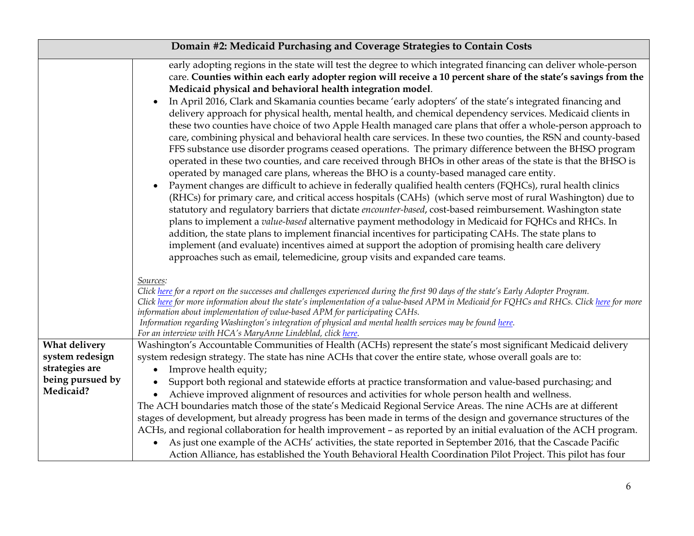| Domain #2: Medicaid Purchasing and Coverage Strategies to Contain Costs |                                                                                                                                                                                                                                                                                                                                                                                                                                                                                                                                                                                                                                                                                                                                                                                                                                                                                                                                                                                                                                                                                                                                                                                                                                                                                                                                                                                                                                                                                                                                                                                                                                                                                                                                                                                                                                                                                                                                                                                                                                                                                                                                                                                                                                                                                                                                     |
|-------------------------------------------------------------------------|-------------------------------------------------------------------------------------------------------------------------------------------------------------------------------------------------------------------------------------------------------------------------------------------------------------------------------------------------------------------------------------------------------------------------------------------------------------------------------------------------------------------------------------------------------------------------------------------------------------------------------------------------------------------------------------------------------------------------------------------------------------------------------------------------------------------------------------------------------------------------------------------------------------------------------------------------------------------------------------------------------------------------------------------------------------------------------------------------------------------------------------------------------------------------------------------------------------------------------------------------------------------------------------------------------------------------------------------------------------------------------------------------------------------------------------------------------------------------------------------------------------------------------------------------------------------------------------------------------------------------------------------------------------------------------------------------------------------------------------------------------------------------------------------------------------------------------------------------------------------------------------------------------------------------------------------------------------------------------------------------------------------------------------------------------------------------------------------------------------------------------------------------------------------------------------------------------------------------------------------------------------------------------------------------------------------------------------|
|                                                                         | early adopting regions in the state will test the degree to which integrated financing can deliver whole-person<br>care. Counties within each early adopter region will receive a 10 percent share of the state's savings from the<br>Medicaid physical and behavioral health integration model.<br>In April 2016, Clark and Skamania counties became 'early adopters' of the state's integrated financing and<br>delivery approach for physical health, mental health, and chemical dependency services. Medicaid clients in<br>these two counties have choice of two Apple Health managed care plans that offer a whole-person approach to<br>care, combining physical and behavioral health care services. In these two counties, the RSN and county-based<br>FFS substance use disorder programs ceased operations. The primary difference between the BHSO program<br>operated in these two counties, and care received through BHOs in other areas of the state is that the BHSO is<br>operated by managed care plans, whereas the BHO is a county-based managed care entity.<br>Payment changes are difficult to achieve in federally qualified health centers (FQHCs), rural health clinics<br>(RHCs) for primary care, and critical access hospitals (CAHs) (which serve most of rural Washington) due to<br>statutory and regulatory barriers that dictate encounter-based, cost-based reimbursement. Washington state<br>plans to implement a value-based alternative payment methodology in Medicaid for FQHCs and RHCs. In<br>addition, the state plans to implement financial incentives for participating CAHs. The state plans to<br>implement (and evaluate) incentives aimed at support the adoption of promising health care delivery<br>approaches such as email, telemedicine, group visits and expanded care teams.<br>Sources:<br>Click here for a report on the successes and challenges experienced during the first 90 days of the state's Early Adopter Program.<br>Click here for more information about the state's implementation of a value-based APM in Medicaid for FQHCs and RHCs. Click here for more<br>information about implementation of value-based APM for participating CAHs.<br>Information regarding Washington's integration of physical and mental health services may be found here. |
| What delivery                                                           | For an interview with HCA's MaryAnne Lindeblad, click here.<br>Washington's Accountable Communities of Health (ACHs) represent the state's most significant Medicaid delivery                                                                                                                                                                                                                                                                                                                                                                                                                                                                                                                                                                                                                                                                                                                                                                                                                                                                                                                                                                                                                                                                                                                                                                                                                                                                                                                                                                                                                                                                                                                                                                                                                                                                                                                                                                                                                                                                                                                                                                                                                                                                                                                                                       |
| system redesign                                                         | system redesign strategy. The state has nine ACHs that cover the entire state, whose overall goals are to:                                                                                                                                                                                                                                                                                                                                                                                                                                                                                                                                                                                                                                                                                                                                                                                                                                                                                                                                                                                                                                                                                                                                                                                                                                                                                                                                                                                                                                                                                                                                                                                                                                                                                                                                                                                                                                                                                                                                                                                                                                                                                                                                                                                                                          |
| strategies are                                                          | Improve health equity;                                                                                                                                                                                                                                                                                                                                                                                                                                                                                                                                                                                                                                                                                                                                                                                                                                                                                                                                                                                                                                                                                                                                                                                                                                                                                                                                                                                                                                                                                                                                                                                                                                                                                                                                                                                                                                                                                                                                                                                                                                                                                                                                                                                                                                                                                                              |
| being pursued by<br>Medicaid?                                           | Support both regional and statewide efforts at practice transformation and value-based purchasing; and                                                                                                                                                                                                                                                                                                                                                                                                                                                                                                                                                                                                                                                                                                                                                                                                                                                                                                                                                                                                                                                                                                                                                                                                                                                                                                                                                                                                                                                                                                                                                                                                                                                                                                                                                                                                                                                                                                                                                                                                                                                                                                                                                                                                                              |
|                                                                         | Achieve improved alignment of resources and activities for whole person health and wellness.<br>The ACH boundaries match those of the state's Medicaid Regional Service Areas. The nine ACHs are at different                                                                                                                                                                                                                                                                                                                                                                                                                                                                                                                                                                                                                                                                                                                                                                                                                                                                                                                                                                                                                                                                                                                                                                                                                                                                                                                                                                                                                                                                                                                                                                                                                                                                                                                                                                                                                                                                                                                                                                                                                                                                                                                       |
|                                                                         | stages of development, but already progress has been made in terms of the design and governance structures of the                                                                                                                                                                                                                                                                                                                                                                                                                                                                                                                                                                                                                                                                                                                                                                                                                                                                                                                                                                                                                                                                                                                                                                                                                                                                                                                                                                                                                                                                                                                                                                                                                                                                                                                                                                                                                                                                                                                                                                                                                                                                                                                                                                                                                   |
|                                                                         | ACHs, and regional collaboration for health improvement - as reported by an initial evaluation of the ACH program.                                                                                                                                                                                                                                                                                                                                                                                                                                                                                                                                                                                                                                                                                                                                                                                                                                                                                                                                                                                                                                                                                                                                                                                                                                                                                                                                                                                                                                                                                                                                                                                                                                                                                                                                                                                                                                                                                                                                                                                                                                                                                                                                                                                                                  |
|                                                                         | As just one example of the ACHs' activities, the state reported in September 2016, that the Cascade Pacific<br>Action Alliance, has established the Youth Behavioral Health Coordination Pilot Project. This pilot has four                                                                                                                                                                                                                                                                                                                                                                                                                                                                                                                                                                                                                                                                                                                                                                                                                                                                                                                                                                                                                                                                                                                                                                                                                                                                                                                                                                                                                                                                                                                                                                                                                                                                                                                                                                                                                                                                                                                                                                                                                                                                                                         |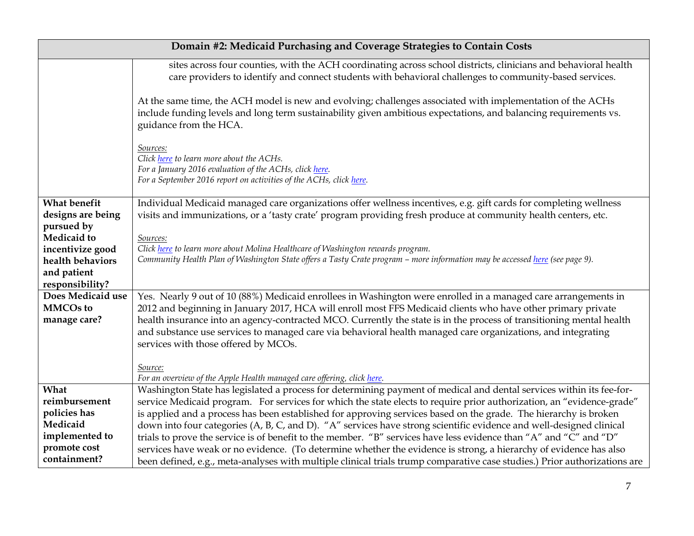| Domain #2: Medicaid Purchasing and Coverage Strategies to Contain Costs               |                                                                                                                                                                                                                                                                                                                                                                                                                                                                                                                           |
|---------------------------------------------------------------------------------------|---------------------------------------------------------------------------------------------------------------------------------------------------------------------------------------------------------------------------------------------------------------------------------------------------------------------------------------------------------------------------------------------------------------------------------------------------------------------------------------------------------------------------|
|                                                                                       | sites across four counties, with the ACH coordinating across school districts, clinicians and behavioral health<br>care providers to identify and connect students with behavioral challenges to community-based services.                                                                                                                                                                                                                                                                                                |
|                                                                                       | At the same time, the ACH model is new and evolving; challenges associated with implementation of the ACHs<br>include funding levels and long term sustainability given ambitious expectations, and balancing requirements vs.<br>guidance from the HCA.                                                                                                                                                                                                                                                                  |
|                                                                                       | Sources:<br>Click here to learn more about the ACHs.<br>For a January 2016 evaluation of the ACHs, click here.<br>For a September 2016 report on activities of the ACHs, click here.                                                                                                                                                                                                                                                                                                                                      |
| What benefit<br>designs are being<br>pursued by                                       | Individual Medicaid managed care organizations offer wellness incentives, e.g. gift cards for completing wellness<br>visits and immunizations, or a 'tasty crate' program providing fresh produce at community health centers, etc.                                                                                                                                                                                                                                                                                       |
| Medicaid to<br>incentivize good<br>health behaviors<br>and patient<br>responsibility? | Sources:<br>Click here to learn more about Molina Healthcare of Washington rewards program.<br>Community Health Plan of Washington State offers a Tasty Crate program - more information may be accessed here (see page 9).                                                                                                                                                                                                                                                                                               |
| Does Medicaid use<br><b>MMCOs to</b><br>manage care?                                  | Yes. Nearly 9 out of 10 (88%) Medicaid enrollees in Washington were enrolled in a managed care arrangements in<br>2012 and beginning in January 2017, HCA will enroll most FFS Medicaid clients who have other primary private<br>health insurance into an agency-contracted MCO. Currently the state is in the process of transitioning mental health<br>and substance use services to managed care via behavioral health managed care organizations, and integrating<br>services with those offered by MCOs.<br>Source: |
| What<br>reimbursement                                                                 | For an overview of the Apple Health managed care offering, click here.<br>Washington State has legislated a process for determining payment of medical and dental services within its fee-for-<br>service Medicaid program. For services for which the state elects to require prior authorization, an "evidence-grade"                                                                                                                                                                                                   |
| policies has<br>Medicaid<br>implemented to<br>promote cost                            | is applied and a process has been established for approving services based on the grade. The hierarchy is broken<br>down into four categories (A, B, C, and D). "A" services have strong scientific evidence and well-designed clinical<br>trials to prove the service is of benefit to the member. "B" services have less evidence than "A" and "C" and "D"                                                                                                                                                              |
| containment?                                                                          | services have weak or no evidence. (To determine whether the evidence is strong, a hierarchy of evidence has also<br>been defined, e.g., meta-analyses with multiple clinical trials trump comparative case studies.) Prior authorizations are                                                                                                                                                                                                                                                                            |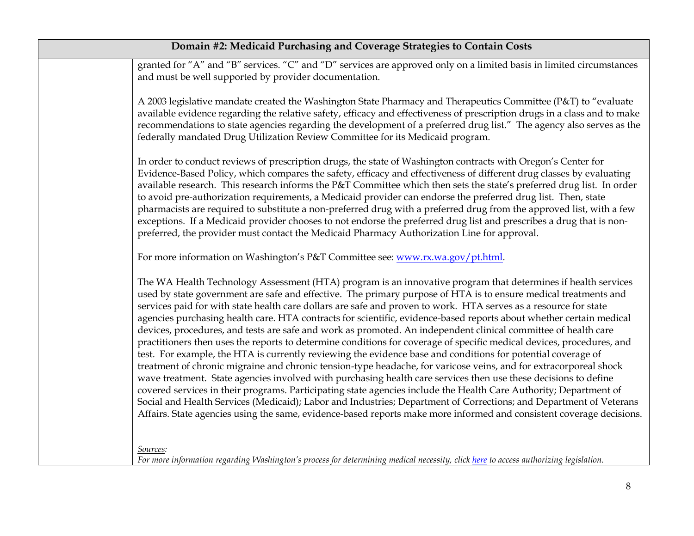| Domain #2: Medicaid Purchasing and Coverage Strategies to Contain Costs |                                                                                                                                                                                                                                                                                                                                                                                                                                                                                                                                                                                                                                                                                                                                                                                                                                                                                                                                                                                                                                                                                                                                                                                                                                                                                                                                                                                                                                                   |
|-------------------------------------------------------------------------|---------------------------------------------------------------------------------------------------------------------------------------------------------------------------------------------------------------------------------------------------------------------------------------------------------------------------------------------------------------------------------------------------------------------------------------------------------------------------------------------------------------------------------------------------------------------------------------------------------------------------------------------------------------------------------------------------------------------------------------------------------------------------------------------------------------------------------------------------------------------------------------------------------------------------------------------------------------------------------------------------------------------------------------------------------------------------------------------------------------------------------------------------------------------------------------------------------------------------------------------------------------------------------------------------------------------------------------------------------------------------------------------------------------------------------------------------|
|                                                                         | granted for "A" and "B" services. "C" and "D" services are approved only on a limited basis in limited circumstances<br>and must be well supported by provider documentation.                                                                                                                                                                                                                                                                                                                                                                                                                                                                                                                                                                                                                                                                                                                                                                                                                                                                                                                                                                                                                                                                                                                                                                                                                                                                     |
|                                                                         | A 2003 legislative mandate created the Washington State Pharmacy and Therapeutics Committee (P&T) to "evaluate<br>available evidence regarding the relative safety, efficacy and effectiveness of prescription drugs in a class and to make<br>recommendations to state agencies regarding the development of a preferred drug list." The agency also serves as the<br>federally mandated Drug Utilization Review Committee for its Medicaid program.                                                                                                                                                                                                                                                                                                                                                                                                                                                                                                                                                                                                                                                                                                                                                                                                                                                                                                                                                                                             |
|                                                                         | In order to conduct reviews of prescription drugs, the state of Washington contracts with Oregon's Center for<br>Evidence-Based Policy, which compares the safety, efficacy and effectiveness of different drug classes by evaluating<br>available research. This research informs the P&T Committee which then sets the state's preferred drug list. In order<br>to avoid pre-authorization requirements, a Medicaid provider can endorse the preferred drug list. Then, state<br>pharmacists are required to substitute a non-preferred drug with a preferred drug from the approved list, with a few<br>exceptions. If a Medicaid provider chooses to not endorse the preferred drug list and prescribes a drug that is non-<br>preferred, the provider must contact the Medicaid Pharmacy Authorization Line for approval.                                                                                                                                                                                                                                                                                                                                                                                                                                                                                                                                                                                                                    |
|                                                                         | For more information on Washington's P&T Committee see: www.rx.wa.gov/pt.html.                                                                                                                                                                                                                                                                                                                                                                                                                                                                                                                                                                                                                                                                                                                                                                                                                                                                                                                                                                                                                                                                                                                                                                                                                                                                                                                                                                    |
|                                                                         | The WA Health Technology Assessment (HTA) program is an innovative program that determines if health services<br>used by state government are safe and effective. The primary purpose of HTA is to ensure medical treatments and<br>services paid for with state health care dollars are safe and proven to work. HTA serves as a resource for state<br>agencies purchasing health care. HTA contracts for scientific, evidence-based reports about whether certain medical<br>devices, procedures, and tests are safe and work as promoted. An independent clinical committee of health care<br>practitioners then uses the reports to determine conditions for coverage of specific medical devices, procedures, and<br>test. For example, the HTA is currently reviewing the evidence base and conditions for potential coverage of<br>treatment of chronic migraine and chronic tension-type headache, for varicose veins, and for extracorporeal shock<br>wave treatment. State agencies involved with purchasing health care services then use these decisions to define<br>covered services in their programs. Participating state agencies include the Health Care Authority; Department of<br>Social and Health Services (Medicaid); Labor and Industries; Department of Corrections; and Department of Veterans<br>Affairs. State agencies using the same, evidence-based reports make more informed and consistent coverage decisions. |
|                                                                         | Sources:<br>For more information regarding Washington's process for determining medical necessity, click here to access authorizing legislation.                                                                                                                                                                                                                                                                                                                                                                                                                                                                                                                                                                                                                                                                                                                                                                                                                                                                                                                                                                                                                                                                                                                                                                                                                                                                                                  |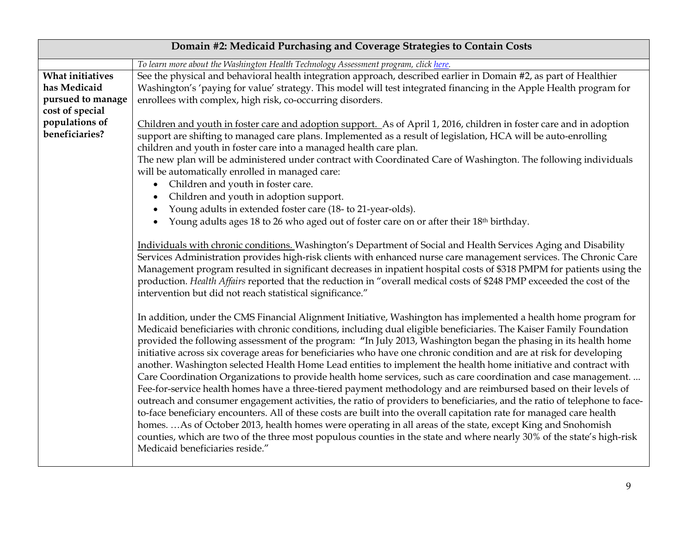| Domain #2: Medicaid Purchasing and Coverage Strategies to Contain Costs |                                                                                                                                                                                                                                                                                                                                                                                                                                                                                                                                                                                                                                                                                                                                                                                                                                                                                                                                                                                                                                                                                                                                                                                                                                                                                                                                                                                 |
|-------------------------------------------------------------------------|---------------------------------------------------------------------------------------------------------------------------------------------------------------------------------------------------------------------------------------------------------------------------------------------------------------------------------------------------------------------------------------------------------------------------------------------------------------------------------------------------------------------------------------------------------------------------------------------------------------------------------------------------------------------------------------------------------------------------------------------------------------------------------------------------------------------------------------------------------------------------------------------------------------------------------------------------------------------------------------------------------------------------------------------------------------------------------------------------------------------------------------------------------------------------------------------------------------------------------------------------------------------------------------------------------------------------------------------------------------------------------|
|                                                                         | To learn more about the Washington Health Technology Assessment program, click here.                                                                                                                                                                                                                                                                                                                                                                                                                                                                                                                                                                                                                                                                                                                                                                                                                                                                                                                                                                                                                                                                                                                                                                                                                                                                                            |
| What initiatives<br>has Medicaid                                        | See the physical and behavioral health integration approach, described earlier in Domain #2, as part of Healthier<br>Washington's 'paying for value' strategy. This model will test integrated financing in the Apple Health program for                                                                                                                                                                                                                                                                                                                                                                                                                                                                                                                                                                                                                                                                                                                                                                                                                                                                                                                                                                                                                                                                                                                                        |
| pursued to manage                                                       | enrollees with complex, high risk, co-occurring disorders.                                                                                                                                                                                                                                                                                                                                                                                                                                                                                                                                                                                                                                                                                                                                                                                                                                                                                                                                                                                                                                                                                                                                                                                                                                                                                                                      |
| cost of special                                                         |                                                                                                                                                                                                                                                                                                                                                                                                                                                                                                                                                                                                                                                                                                                                                                                                                                                                                                                                                                                                                                                                                                                                                                                                                                                                                                                                                                                 |
| populations of<br>beneficiaries?                                        | Children and youth in foster care and adoption support. As of April 1, 2016, children in foster care and in adoption<br>support are shifting to managed care plans. Implemented as a result of legislation, HCA will be auto-enrolling<br>children and youth in foster care into a managed health care plan.<br>The new plan will be administered under contract with Coordinated Care of Washington. The following individuals                                                                                                                                                                                                                                                                                                                                                                                                                                                                                                                                                                                                                                                                                                                                                                                                                                                                                                                                                 |
|                                                                         | will be automatically enrolled in managed care:                                                                                                                                                                                                                                                                                                                                                                                                                                                                                                                                                                                                                                                                                                                                                                                                                                                                                                                                                                                                                                                                                                                                                                                                                                                                                                                                 |
|                                                                         | Children and youth in foster care.<br>$\bullet$                                                                                                                                                                                                                                                                                                                                                                                                                                                                                                                                                                                                                                                                                                                                                                                                                                                                                                                                                                                                                                                                                                                                                                                                                                                                                                                                 |
|                                                                         | Children and youth in adoption support.                                                                                                                                                                                                                                                                                                                                                                                                                                                                                                                                                                                                                                                                                                                                                                                                                                                                                                                                                                                                                                                                                                                                                                                                                                                                                                                                         |
|                                                                         | Young adults in extended foster care (18- to 21-year-olds).                                                                                                                                                                                                                                                                                                                                                                                                                                                                                                                                                                                                                                                                                                                                                                                                                                                                                                                                                                                                                                                                                                                                                                                                                                                                                                                     |
|                                                                         | Young adults ages 18 to 26 who aged out of foster care on or after their 18th birthday.                                                                                                                                                                                                                                                                                                                                                                                                                                                                                                                                                                                                                                                                                                                                                                                                                                                                                                                                                                                                                                                                                                                                                                                                                                                                                         |
|                                                                         | Individuals with chronic conditions. Washington's Department of Social and Health Services Aging and Disability<br>Services Administration provides high-risk clients with enhanced nurse care management services. The Chronic Care<br>Management program resulted in significant decreases in inpatient hospital costs of \$318 PMPM for patients using the<br>production. Health Affairs reported that the reduction in "overall medical costs of \$248 PMP exceeded the cost of the<br>intervention but did not reach statistical significance."                                                                                                                                                                                                                                                                                                                                                                                                                                                                                                                                                                                                                                                                                                                                                                                                                            |
|                                                                         | In addition, under the CMS Financial Alignment Initiative, Washington has implemented a health home program for<br>Medicaid beneficiaries with chronic conditions, including dual eligible beneficiaries. The Kaiser Family Foundation<br>provided the following assessment of the program: "In July 2013, Washington began the phasing in its health home<br>initiative across six coverage areas for beneficiaries who have one chronic condition and are at risk for developing<br>another. Washington selected Health Home Lead entities to implement the health home initiative and contract with<br>Care Coordination Organizations to provide health home services, such as care coordination and case management.<br>Fee-for-service health homes have a three-tiered payment methodology and are reimbursed based on their levels of<br>outreach and consumer engagement activities, the ratio of providers to beneficiaries, and the ratio of telephone to face-<br>to-face beneficiary encounters. All of these costs are built into the overall capitation rate for managed care health<br>homes. As of October 2013, health homes were operating in all areas of the state, except King and Snohomish<br>counties, which are two of the three most populous counties in the state and where nearly 30% of the state's high-risk<br>Medicaid beneficiaries reside." |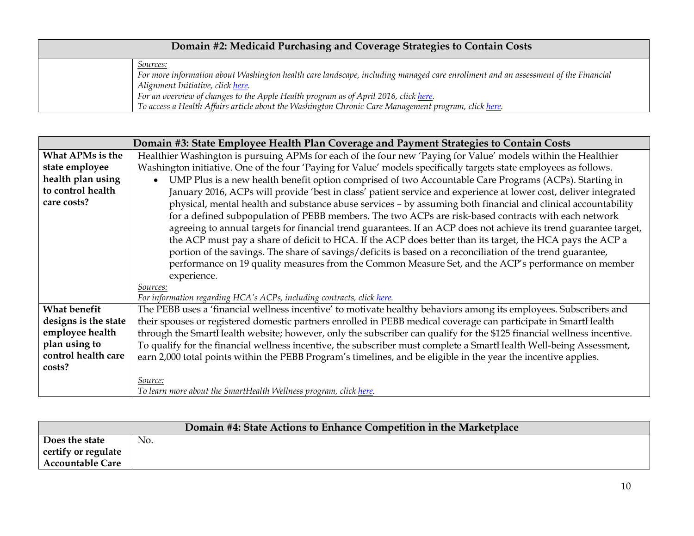| Domain #2: Medicaid Purchasing and Coverage Strategies to Contain Costs |                                                                                                                                                                                |
|-------------------------------------------------------------------------|--------------------------------------------------------------------------------------------------------------------------------------------------------------------------------|
|                                                                         | Sources:                                                                                                                                                                       |
|                                                                         | For more information about Washington health care landscape, including managed care enrollment and an assessment of the Financial<br>Alignment Initiative, click <u>here</u> . |
|                                                                         | For an overview of changes to the Apple Health program as of April 2016, click here.                                                                                           |
|                                                                         | To access a Health Affairs article about the Washington Chronic Care Management program, click here.                                                                           |

| Domain #3: State Employee Health Plan Coverage and Payment Strategies to Contain Costs |                                                                                                                       |
|----------------------------------------------------------------------------------------|-----------------------------------------------------------------------------------------------------------------------|
| What APMs is the                                                                       | Healthier Washington is pursuing APMs for each of the four new 'Paying for Value' models within the Healthier         |
| state employee                                                                         | Washington initiative. One of the four 'Paying for Value' models specifically targets state employees as follows.     |
| health plan using                                                                      | UMP Plus is a new health benefit option comprised of two Accountable Care Programs (ACPs). Starting in<br>$\bullet$   |
| to control health                                                                      | January 2016, ACPs will provide 'best in class' patient service and experience at lower cost, deliver integrated      |
| care costs?                                                                            | physical, mental health and substance abuse services - by assuming both financial and clinical accountability         |
|                                                                                        | for a defined subpopulation of PEBB members. The two ACPs are risk-based contracts with each network                  |
|                                                                                        | agreeing to annual targets for financial trend guarantees. If an ACP does not achieve its trend guarantee target,     |
|                                                                                        | the ACP must pay a share of deficit to HCA. If the ACP does better than its target, the HCA pays the ACP a            |
|                                                                                        | portion of the savings. The share of savings/deficits is based on a reconciliation of the trend guarantee,            |
|                                                                                        | performance on 19 quality measures from the Common Measure Set, and the ACP's performance on member                   |
|                                                                                        | experience.                                                                                                           |
|                                                                                        | Sources:                                                                                                              |
|                                                                                        | For information regarding HCA's ACPs, including contracts, click here.                                                |
| <b>What benefit</b>                                                                    | The PEBB uses a 'financial wellness incentive' to motivate healthy behaviors among its employees. Subscribers and     |
| designs is the state                                                                   | their spouses or registered domestic partners enrolled in PEBB medical coverage can participate in SmartHealth        |
| employee health                                                                        | through the SmartHealth website; however, only the subscriber can qualify for the \$125 financial wellness incentive. |
| plan using to                                                                          | To qualify for the financial wellness incentive, the subscriber must complete a SmartHealth Well-being Assessment,    |
| control health care                                                                    | earn 2,000 total points within the PEBB Program's timelines, and be eligible in the year the incentive applies.       |
| costs?                                                                                 |                                                                                                                       |
|                                                                                        | Source:                                                                                                               |
|                                                                                        | To learn more about the SmartHealth Wellness program, click here.                                                     |

| Domain #4: State Actions to Enhance Competition in the Marketplace |     |  |
|--------------------------------------------------------------------|-----|--|
| Does the state                                                     | No. |  |
| certify or regulate                                                |     |  |
| <b>Accountable Care</b>                                            |     |  |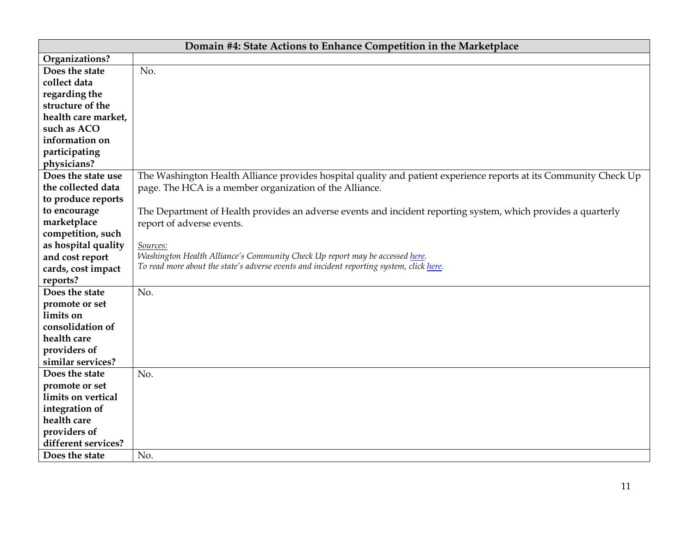|                     | Domain #4: State Actions to Enhance Competition in the Marketplace                                                |
|---------------------|-------------------------------------------------------------------------------------------------------------------|
| Organizations?      |                                                                                                                   |
| Does the state      | No.                                                                                                               |
| collect data        |                                                                                                                   |
| regarding the       |                                                                                                                   |
| structure of the    |                                                                                                                   |
| health care market, |                                                                                                                   |
| such as ACO         |                                                                                                                   |
| information on      |                                                                                                                   |
| participating       |                                                                                                                   |
| physicians?         |                                                                                                                   |
| Does the state use  | The Washington Health Alliance provides hospital quality and patient experience reports at its Community Check Up |
| the collected data  | page. The HCA is a member organization of the Alliance.                                                           |
| to produce reports  |                                                                                                                   |
| to encourage        | The Department of Health provides an adverse events and incident reporting system, which provides a quarterly     |
| marketplace         | report of adverse events.                                                                                         |
| competition, such   |                                                                                                                   |
| as hospital quality | Sources:                                                                                                          |
| and cost report     | Washington Health Alliance's Community Check Up report may be accessed here.                                      |
| cards, cost impact  | To read more about the state's adverse events and incident reporting system, click here.                          |
| reports?            |                                                                                                                   |
| Does the state      | No.                                                                                                               |
| promote or set      |                                                                                                                   |
| limits on           |                                                                                                                   |
| consolidation of    |                                                                                                                   |
| health care         |                                                                                                                   |
| providers of        |                                                                                                                   |
| similar services?   |                                                                                                                   |
| Does the state      | No.                                                                                                               |
| promote or set      |                                                                                                                   |
| limits on vertical  |                                                                                                                   |
| integration of      |                                                                                                                   |
| health care         |                                                                                                                   |
| providers of        |                                                                                                                   |
| different services? |                                                                                                                   |
| Does the state      | No.                                                                                                               |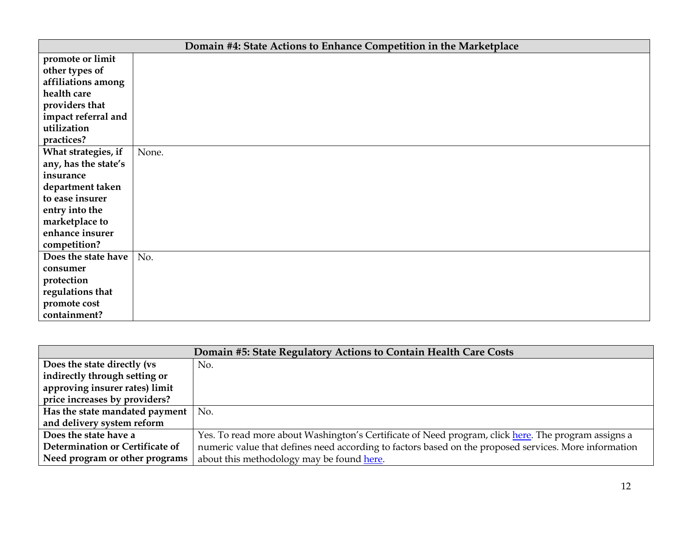| Domain #4: State Actions to Enhance Competition in the Marketplace |       |  |
|--------------------------------------------------------------------|-------|--|
| promote or limit                                                   |       |  |
| other types of                                                     |       |  |
| affiliations among                                                 |       |  |
| health care                                                        |       |  |
| providers that                                                     |       |  |
| impact referral and                                                |       |  |
| utilization                                                        |       |  |
| practices?                                                         |       |  |
| What strategies, if                                                | None. |  |
| any, has the state's                                               |       |  |
| insurance                                                          |       |  |
| department taken                                                   |       |  |
| to ease insurer                                                    |       |  |
| entry into the                                                     |       |  |
| marketplace to                                                     |       |  |
| enhance insurer                                                    |       |  |
| competition?                                                       |       |  |
| Does the state have                                                | No.   |  |
| consumer                                                           |       |  |
| protection                                                         |       |  |
| regulations that                                                   |       |  |
| promote cost                                                       |       |  |
| containment?                                                       |       |  |

| Domain #5: State Regulatory Actions to Contain Health Care Costs |                                                                                                       |  |
|------------------------------------------------------------------|-------------------------------------------------------------------------------------------------------|--|
| Does the state directly (vs                                      | No.                                                                                                   |  |
| indirectly through setting or                                    |                                                                                                       |  |
| approving insurer rates) limit                                   |                                                                                                       |  |
| price increases by providers?                                    |                                                                                                       |  |
| Has the state mandated payment                                   | No.                                                                                                   |  |
| and delivery system reform                                       |                                                                                                       |  |
| Does the state have a                                            | Yes. To read more about Washington's Certificate of Need program, click here. The program assigns a   |  |
| Determination or Certificate of                                  | numeric value that defines need according to factors based on the proposed services. More information |  |
| Need program or other programs                                   | about this methodology may be found here.                                                             |  |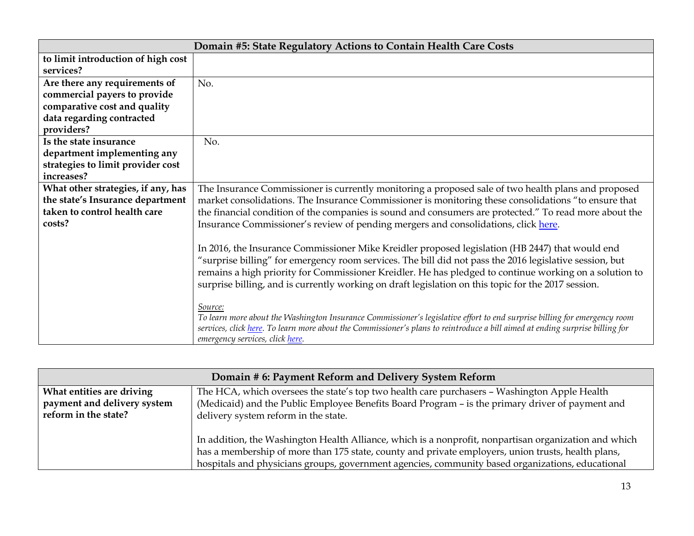| Domain #5: State Regulatory Actions to Contain Health Care Costs |                                                                                                                               |
|------------------------------------------------------------------|-------------------------------------------------------------------------------------------------------------------------------|
| to limit introduction of high cost                               |                                                                                                                               |
| services?                                                        |                                                                                                                               |
| Are there any requirements of                                    | No.                                                                                                                           |
| commercial payers to provide                                     |                                                                                                                               |
| comparative cost and quality                                     |                                                                                                                               |
| data regarding contracted                                        |                                                                                                                               |
| providers?                                                       |                                                                                                                               |
| Is the state insurance                                           | No.                                                                                                                           |
| department implementing any                                      |                                                                                                                               |
| strategies to limit provider cost                                |                                                                                                                               |
| increases?                                                       |                                                                                                                               |
| What other strategies, if any, has                               | The Insurance Commissioner is currently monitoring a proposed sale of two health plans and proposed                           |
| the state's Insurance department                                 | market consolidations. The Insurance Commissioner is monitoring these consolidations "to ensure that                          |
| taken to control health care                                     | the financial condition of the companies is sound and consumers are protected." To read more about the                        |
| costs?                                                           | Insurance Commissioner's review of pending mergers and consolidations, click here.                                            |
|                                                                  |                                                                                                                               |
|                                                                  | In 2016, the Insurance Commissioner Mike Kreidler proposed legislation (HB 2447) that would end                               |
|                                                                  | "surprise billing" for emergency room services. The bill did not pass the 2016 legislative session, but                       |
|                                                                  | remains a high priority for Commissioner Kreidler. He has pledged to continue working on a solution to                        |
|                                                                  | surprise billing, and is currently working on draft legislation on this topic for the 2017 session.                           |
|                                                                  |                                                                                                                               |
|                                                                  | Source:                                                                                                                       |
|                                                                  | To learn more about the Washington Insurance Commissioner's legislative effort to end surprise billing for emergency room     |
|                                                                  | services, click here. To learn more about the Commissioner's plans to reintroduce a bill aimed at ending surprise billing for |
|                                                                  | emergency services, click here.                                                                                               |

| Domain # 6: Payment Reform and Delivery System Reform |                                                                                                                                                                                                                                                                                                                 |  |
|-------------------------------------------------------|-----------------------------------------------------------------------------------------------------------------------------------------------------------------------------------------------------------------------------------------------------------------------------------------------------------------|--|
| What entities are driving                             | The HCA, which oversees the state's top two health care purchasers - Washington Apple Health                                                                                                                                                                                                                    |  |
| payment and delivery system<br>reform in the state?   | (Medicaid) and the Public Employee Benefits Board Program - is the primary driver of payment and                                                                                                                                                                                                                |  |
|                                                       | delivery system reform in the state.                                                                                                                                                                                                                                                                            |  |
|                                                       | In addition, the Washington Health Alliance, which is a nonprofit, nonpartisan organization and which<br>has a membership of more than 175 state, county and private employers, union trusts, health plans,<br>hospitals and physicians groups, government agencies, community based organizations, educational |  |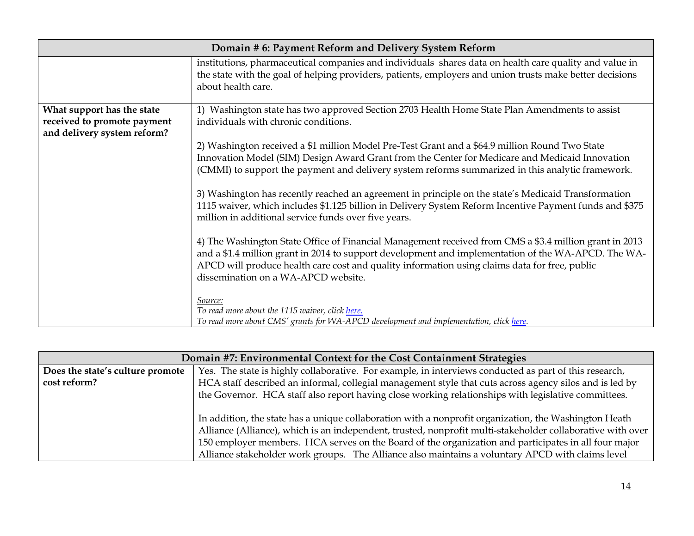| Domain # 6: Payment Reform and Delivery System Reform                                    |                                                                                                                                                                                                                                                                                                                                                       |
|------------------------------------------------------------------------------------------|-------------------------------------------------------------------------------------------------------------------------------------------------------------------------------------------------------------------------------------------------------------------------------------------------------------------------------------------------------|
|                                                                                          | institutions, pharmaceutical companies and individuals shares data on health care quality and value in<br>the state with the goal of helping providers, patients, employers and union trusts make better decisions<br>about health care.                                                                                                              |
| What support has the state<br>received to promote payment<br>and delivery system reform? | 1) Washington state has two approved Section 2703 Health Home State Plan Amendments to assist<br>individuals with chronic conditions.                                                                                                                                                                                                                 |
|                                                                                          | 2) Washington received a \$1 million Model Pre-Test Grant and a \$64.9 million Round Two State<br>Innovation Model (SIM) Design Award Grant from the Center for Medicare and Medicaid Innovation<br>(CMMI) to support the payment and delivery system reforms summarized in this analytic framework.                                                  |
|                                                                                          | 3) Washington has recently reached an agreement in principle on the state's Medicaid Transformation<br>1115 waiver, which includes \$1.125 billion in Delivery System Reform Incentive Payment funds and \$375<br>million in additional service funds over five years.                                                                                |
|                                                                                          | 4) The Washington State Office of Financial Management received from CMS a \$3.4 million grant in 2013<br>and a \$1.4 million grant in 2014 to support development and implementation of the WA-APCD. The WA-<br>APCD will produce health care cost and quality information using claims data for free, public<br>dissemination on a WA-APCD website. |
|                                                                                          | Source:<br>To read more about the 1115 waiver, click here.<br>To read more about CMS' grants for WA-APCD development and implementation, click here.                                                                                                                                                                                                  |

| Domain #7: Environmental Context for the Cost Containment Strategies |                                                                                                            |  |
|----------------------------------------------------------------------|------------------------------------------------------------------------------------------------------------|--|
| Does the state's culture promote                                     | Yes. The state is highly collaborative. For example, in interviews conducted as part of this research,     |  |
| cost reform?                                                         | HCA staff described an informal, collegial management style that cuts across agency silos and is led by    |  |
|                                                                      | the Governor. HCA staff also report having close working relationships with legislative committees.        |  |
|                                                                      |                                                                                                            |  |
|                                                                      | In addition, the state has a unique collaboration with a nonprofit organization, the Washington Heath      |  |
|                                                                      | Alliance (Alliance), which is an independent, trusted, nonprofit multi-stakeholder collaborative with over |  |
|                                                                      | 150 employer members. HCA serves on the Board of the organization and participates in all four major       |  |
|                                                                      | Alliance stakeholder work groups. The Alliance also maintains a voluntary APCD with claims level           |  |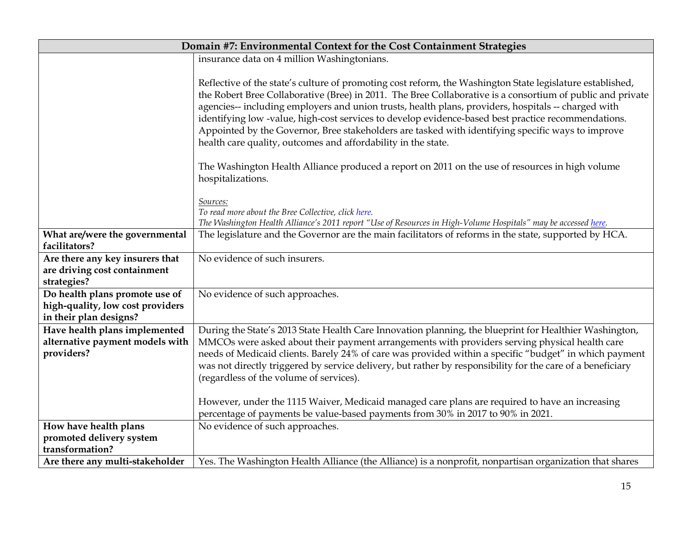| Domain #7: Environmental Context for the Cost Containment Strategies |                                                                                                                                                                                                                                                                                                                                                                                                                                                                                                                                                                                                            |  |
|----------------------------------------------------------------------|------------------------------------------------------------------------------------------------------------------------------------------------------------------------------------------------------------------------------------------------------------------------------------------------------------------------------------------------------------------------------------------------------------------------------------------------------------------------------------------------------------------------------------------------------------------------------------------------------------|--|
|                                                                      | insurance data on 4 million Washingtonians.                                                                                                                                                                                                                                                                                                                                                                                                                                                                                                                                                                |  |
|                                                                      |                                                                                                                                                                                                                                                                                                                                                                                                                                                                                                                                                                                                            |  |
|                                                                      | Reflective of the state's culture of promoting cost reform, the Washington State legislature established,<br>the Robert Bree Collaborative (Bree) in 2011. The Bree Collaborative is a consortium of public and private<br>agencies-- including employers and union trusts, health plans, providers, hospitals -- charged with<br>identifying low-value, high-cost services to develop evidence-based best practice recommendations.<br>Appointed by the Governor, Bree stakeholders are tasked with identifying specific ways to improve<br>health care quality, outcomes and affordability in the state. |  |
|                                                                      | The Washington Health Alliance produced a report on 2011 on the use of resources in high volume<br>hospitalizations.                                                                                                                                                                                                                                                                                                                                                                                                                                                                                       |  |
|                                                                      | Sources:                                                                                                                                                                                                                                                                                                                                                                                                                                                                                                                                                                                                   |  |
|                                                                      | To read more about the Bree Collective, click here.                                                                                                                                                                                                                                                                                                                                                                                                                                                                                                                                                        |  |
|                                                                      | The Washington Health Alliance's 2011 report "Use of Resources in High-Volume Hospitals" may be accessed here.                                                                                                                                                                                                                                                                                                                                                                                                                                                                                             |  |
| What are/were the governmental                                       | The legislature and the Governor are the main facilitators of reforms in the state, supported by HCA.                                                                                                                                                                                                                                                                                                                                                                                                                                                                                                      |  |
| facilitators?                                                        |                                                                                                                                                                                                                                                                                                                                                                                                                                                                                                                                                                                                            |  |
| Are there any key insurers that                                      | No evidence of such insurers.                                                                                                                                                                                                                                                                                                                                                                                                                                                                                                                                                                              |  |
| are driving cost containment                                         |                                                                                                                                                                                                                                                                                                                                                                                                                                                                                                                                                                                                            |  |
| strategies?<br>Do health plans promote use of                        | No evidence of such approaches.                                                                                                                                                                                                                                                                                                                                                                                                                                                                                                                                                                            |  |
| high-quality, low cost providers                                     |                                                                                                                                                                                                                                                                                                                                                                                                                                                                                                                                                                                                            |  |
| in their plan designs?                                               |                                                                                                                                                                                                                                                                                                                                                                                                                                                                                                                                                                                                            |  |
| Have health plans implemented                                        | During the State's 2013 State Health Care Innovation planning, the blueprint for Healthier Washington,                                                                                                                                                                                                                                                                                                                                                                                                                                                                                                     |  |
| alternative payment models with                                      | MMCOs were asked about their payment arrangements with providers serving physical health care                                                                                                                                                                                                                                                                                                                                                                                                                                                                                                              |  |
| providers?                                                           | needs of Medicaid clients. Barely 24% of care was provided within a specific "budget" in which payment                                                                                                                                                                                                                                                                                                                                                                                                                                                                                                     |  |
|                                                                      | was not directly triggered by service delivery, but rather by responsibility for the care of a beneficiary                                                                                                                                                                                                                                                                                                                                                                                                                                                                                                 |  |
|                                                                      | (regardless of the volume of services).                                                                                                                                                                                                                                                                                                                                                                                                                                                                                                                                                                    |  |
|                                                                      |                                                                                                                                                                                                                                                                                                                                                                                                                                                                                                                                                                                                            |  |
|                                                                      | However, under the 1115 Waiver, Medicaid managed care plans are required to have an increasing                                                                                                                                                                                                                                                                                                                                                                                                                                                                                                             |  |
|                                                                      | percentage of payments be value-based payments from 30% in 2017 to 90% in 2021.                                                                                                                                                                                                                                                                                                                                                                                                                                                                                                                            |  |
| How have health plans                                                | No evidence of such approaches.                                                                                                                                                                                                                                                                                                                                                                                                                                                                                                                                                                            |  |
| promoted delivery system                                             |                                                                                                                                                                                                                                                                                                                                                                                                                                                                                                                                                                                                            |  |
| transformation?                                                      |                                                                                                                                                                                                                                                                                                                                                                                                                                                                                                                                                                                                            |  |
| Are there any multi-stakeholder                                      | Yes. The Washington Health Alliance (the Alliance) is a nonprofit, nonpartisan organization that shares                                                                                                                                                                                                                                                                                                                                                                                                                                                                                                    |  |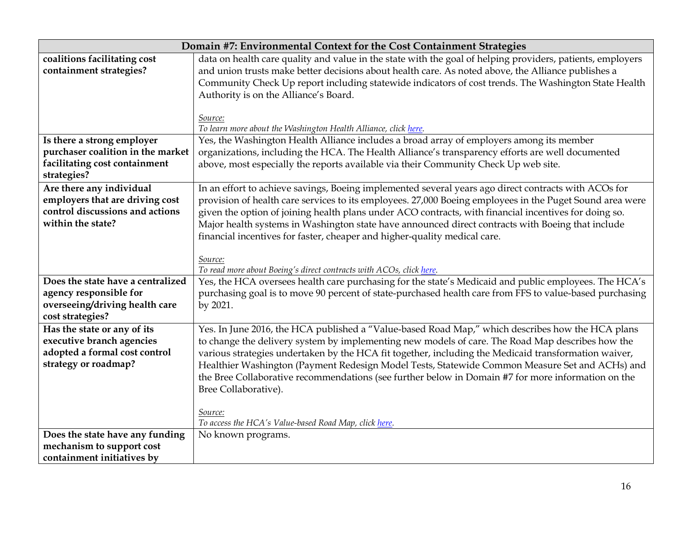|                                              | Domain #7: Environmental Context for the Cost Containment Strategies                                       |
|----------------------------------------------|------------------------------------------------------------------------------------------------------------|
| coalitions facilitating cost                 | data on health care quality and value in the state with the goal of helping providers, patients, employers |
| containment strategies?                      | and union trusts make better decisions about health care. As noted above, the Alliance publishes a         |
|                                              | Community Check Up report including statewide indicators of cost trends. The Washington State Health       |
|                                              | Authority is on the Alliance's Board.                                                                      |
|                                              |                                                                                                            |
|                                              | Source:                                                                                                    |
|                                              | To learn more about the Washington Health Alliance, click here.                                            |
| Is there a strong employer                   | Yes, the Washington Health Alliance includes a broad array of employers among its member                   |
| purchaser coalition in the market            | organizations, including the HCA. The Health Alliance's transparency efforts are well documented           |
| facilitating cost containment<br>strategies? | above, most especially the reports available via their Community Check Up web site.                        |
| Are there any individual                     | In an effort to achieve savings, Boeing implemented several years ago direct contracts with ACOs for       |
| employers that are driving cost              | provision of health care services to its employees. 27,000 Boeing employees in the Puget Sound area were   |
| control discussions and actions              | given the option of joining health plans under ACO contracts, with financial incentives for doing so.      |
| within the state?                            | Major health systems in Washington state have announced direct contracts with Boeing that include          |
|                                              | financial incentives for faster, cheaper and higher-quality medical care.                                  |
|                                              |                                                                                                            |
|                                              | Source:                                                                                                    |
|                                              | To read more about Boeing's direct contracts with ACOs, click here.                                        |
| Does the state have a centralized            | Yes, the HCA oversees health care purchasing for the state's Medicaid and public employees. The HCA's      |
| agency responsible for                       | purchasing goal is to move 90 percent of state-purchased health care from FFS to value-based purchasing    |
| overseeing/driving health care               | by 2021.                                                                                                   |
| cost strategies?                             |                                                                                                            |
| Has the state or any of its                  | Yes. In June 2016, the HCA published a "Value-based Road Map," which describes how the HCA plans           |
| executive branch agencies                    | to change the delivery system by implementing new models of care. The Road Map describes how the           |
| adopted a formal cost control                | various strategies undertaken by the HCA fit together, including the Medicaid transformation waiver,       |
| strategy or roadmap?                         | Healthier Washington (Payment Redesign Model Tests, Statewide Common Measure Set and ACHs) and             |
|                                              | the Bree Collaborative recommendations (see further below in Domain #7 for more information on the         |
|                                              | Bree Collaborative).                                                                                       |
|                                              | Source:                                                                                                    |
|                                              | To access the HCA's Value-based Road Map, click here.                                                      |
| Does the state have any funding              | No known programs.                                                                                         |
| mechanism to support cost                    |                                                                                                            |
| containment initiatives by                   |                                                                                                            |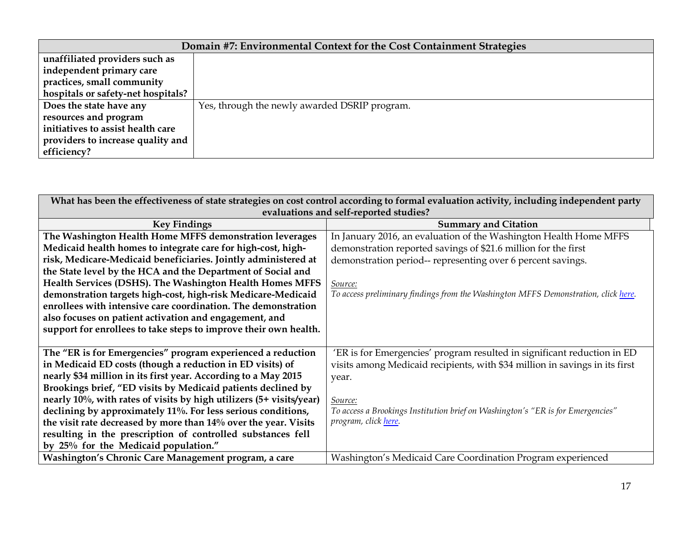| Domain #7: Environmental Context for the Cost Containment Strategies |                                               |  |
|----------------------------------------------------------------------|-----------------------------------------------|--|
| unaffiliated providers such as                                       |                                               |  |
| independent primary care                                             |                                               |  |
| practices, small community                                           |                                               |  |
| hospitals or safety-net hospitals?                                   |                                               |  |
| Does the state have any                                              | Yes, through the newly awarded DSRIP program. |  |
| resources and program                                                |                                               |  |
| initiatives to assist health care                                    |                                               |  |
| providers to increase quality and                                    |                                               |  |
| efficiency?                                                          |                                               |  |

| What has been the effectiveness of state strategies on cost control according to formal evaluation activity, including independent party |                                                                                    |  |
|------------------------------------------------------------------------------------------------------------------------------------------|------------------------------------------------------------------------------------|--|
| evaluations and self-reported studies?                                                                                                   |                                                                                    |  |
| <b>Key Findings</b>                                                                                                                      | <b>Summary and Citation</b>                                                        |  |
| The Washington Health Home MFFS demonstration leverages                                                                                  | In January 2016, an evaluation of the Washington Health Home MFFS                  |  |
| Medicaid health homes to integrate care for high-cost, high-                                                                             | demonstration reported savings of \$21.6 million for the first                     |  |
| risk, Medicare-Medicaid beneficiaries. Jointly administered at                                                                           | demonstration period-- representing over 6 percent savings.                        |  |
| the State level by the HCA and the Department of Social and                                                                              |                                                                                    |  |
| Health Services (DSHS). The Washington Health Homes MFFS                                                                                 | Source:                                                                            |  |
| demonstration targets high-cost, high-risk Medicare-Medicaid                                                                             | To access preliminary findings from the Washington MFFS Demonstration, click here. |  |
| enrollees with intensive care coordination. The demonstration                                                                            |                                                                                    |  |
| also focuses on patient activation and engagement, and                                                                                   |                                                                                    |  |
| support for enrollees to take steps to improve their own health.                                                                         |                                                                                    |  |
|                                                                                                                                          |                                                                                    |  |
| The "ER is for Emergencies" program experienced a reduction                                                                              | 'ER is for Emergencies' program resulted in significant reduction in ED            |  |
| in Medicaid ED costs (though a reduction in ED visits) of                                                                                | visits among Medicaid recipients, with \$34 million in savings in its first        |  |
| nearly \$34 million in its first year. According to a May 2015                                                                           | year.                                                                              |  |
| Brookings brief, "ED visits by Medicaid patients declined by                                                                             |                                                                                    |  |
| nearly 10%, with rates of visits by high utilizers (5+ visits/year)                                                                      | Source:                                                                            |  |
| declining by approximately 11%. For less serious conditions,                                                                             | To access a Brookings Institution brief on Washington's "ER is for Emergencies"    |  |
| the visit rate decreased by more than 14% over the year. Visits                                                                          | program, click here.                                                               |  |
| resulting in the prescription of controlled substances fell                                                                              |                                                                                    |  |
| by 25% for the Medicaid population."                                                                                                     |                                                                                    |  |
| Washington's Chronic Care Management program, a care                                                                                     | Washington's Medicaid Care Coordination Program experienced                        |  |